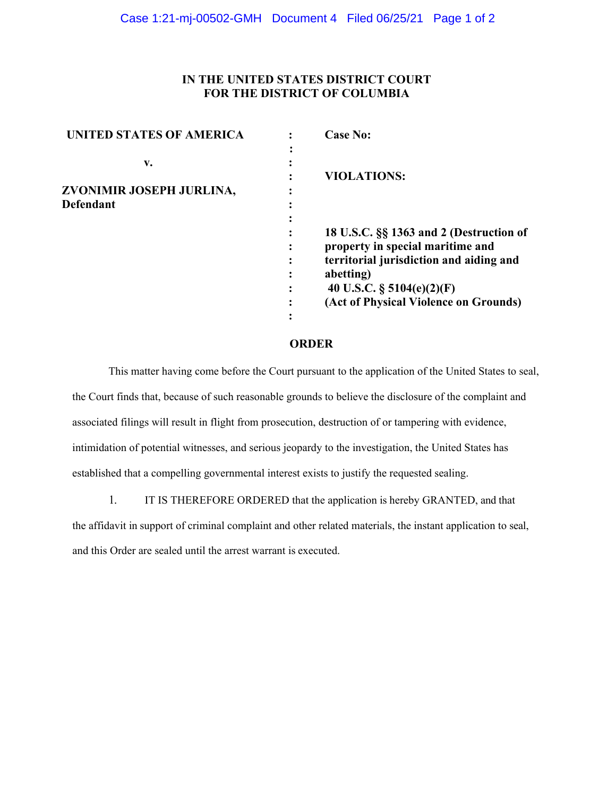## **IN THE UNITED STATES DISTRICT COURT FOR THE DISTRICT OF COLUMBIA**

| UNITED STATES OF AMERICA | <b>Case No:</b>                         |
|--------------------------|-----------------------------------------|
|                          |                                         |
| v.                       |                                         |
|                          | <b>VIOLATIONS:</b>                      |
| ZVONIMIR JOSEPH JURLINA, |                                         |
| <b>Defendant</b>         |                                         |
|                          |                                         |
|                          | 18 U.S.C. §§ 1363 and 2 (Destruction of |
|                          | property in special maritime and        |
|                          | territorial jurisdiction and aiding and |
|                          | abetting)                               |
|                          | 40 U.S.C. $\S$ 5104(e)(2)(F)            |
|                          | (Act of Physical Violence on Grounds)   |
|                          |                                         |

## **ORDER**

This matter having come before the Court pursuant to the application of the United States to seal, the Court finds that, because of such reasonable grounds to believe the disclosure of the complaint and associated filings will result in flight from prosecution, destruction of or tampering with evidence, intimidation of potential witnesses, and serious jeopardy to the investigation, the United States has established that a compelling governmental interest exists to justify the requested sealing.

1. IT IS THEREFORE ORDERED that the application is hereby GRANTED, and that the affidavit in support of criminal complaint and other related materials, the instant application to seal, and this Order are sealed until the arrest warrant is executed.